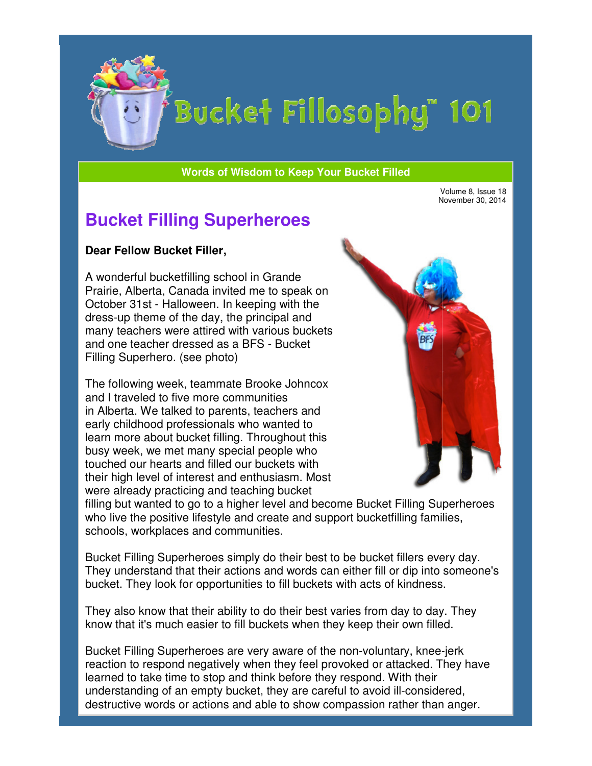

# Bucket Fillosophy" 101

#### **Words of Wisdom to Keep Your Bucket Filled Wisdom**

Volume 8, Issue 18 November 30, 2014

## **Bucket Filling Superheroes**

#### **Dear Fellow Bucket Filler Filler,**

A wonderful bucketfilling school A wonderful in Grande Prairie, Alberta, Canada invited me to speak on October 31st - Halloween. In keeping with the dress-up theme of the day, the principal and many teachers were attired with various buckets and one teacher dressed as a BFS Filling Superhero. (see photo) Prairie, Alberta, Canada invited me to speak<br>October 31st - Halloween. In keeping with th<br>dress-up theme of the day, the principal and<br>many teachers were attired with various buck<br>and one teacher dressed as a BFS - Bucket

The following week, teammate Brooke Johncox and I traveled to five more communities in Alberta. We talked to parents, teachers and early childhood professionals who wanted to learn more about bucket filling. busy week, we met many special people who touched our hearts and filled our buckets with their high level of interest and enthusiasm. Most were already practicing and teaching bucket busy week, we met many special people who<br>touched our hearts and filled our buckets with<br>their high level of interest and enthusiasm. Most<br>were already practicing and teaching bucket<br>filling but wanted to go to a higher le g Superhero. (see photo)<br>following week, teammate Brooke Johncox<br>I traveled to five more communities<br>berta. We talked to parents, teachers and<br>profilling. Throughout this<br>in more about bucket filling. Throughout this



who live the positive lifestyle and create and support bucketfilling families, schools, workplaces and communities.

Bucket Filling Superheroes simply do their best to be bucket fillers every day. who live the positive lifestyle and create and support bucketfilling families,<br>schools, workplaces and communities.<br>Bucket Filling Superheroes simply do their best to be bucket fillers every day.<br>They understand that their bucket. They look for opportunities to fill buckets with acts of kindness.

They also know that their ability to do their best varies from day to day. They know that it's much easier to fill buckets when they keep their own filled.

Bucket Filling Superheroes are very aware of the non-voluntary, kneereaction to respond negatively when they feel provoked or attacked. They have<br>learned to take time to stop and think before they respond. With their<br>understanding of an empty bucket, they are careful to avoid ill-considere learned to take time to stop and think before they respond. With their understanding of an empty bucket, they are careful to avoid ill considered, destructive words or actions and able to show compassion rather than anger.